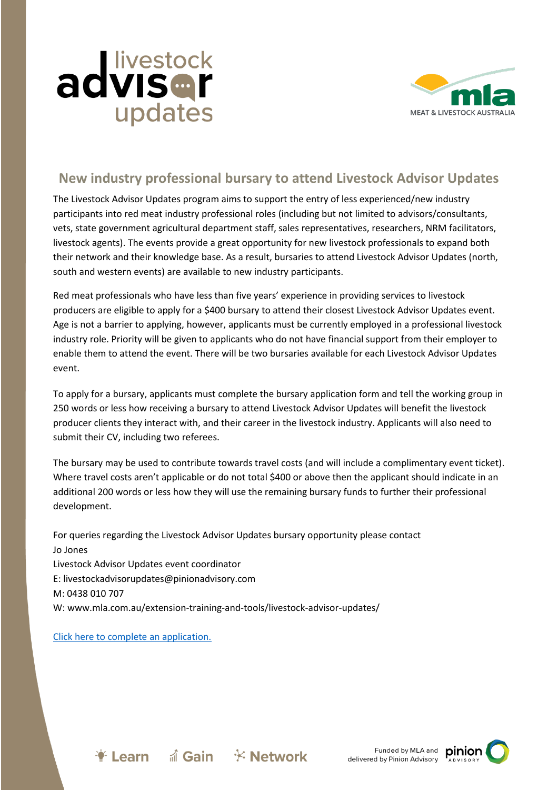



## **New industry professional bursary to attend Livestock Advisor Updates**

The Livestock Advisor Updates program aims to support the entry of less experienced/new industry participants into red meat industry professional roles (including but not limited to advisors/consultants, vets, state government agricultural department staff, sales representatives, researchers, NRM facilitators, livestock agents). The events provide a great opportunity for new livestock professionals to expand both their network and their knowledge base. As a result, bursaries to attend Livestock Advisor Updates (north, south and western events) are available to new industry participants.

Red meat professionals who have less than five years' experience in providing services to livestock producers are eligible to apply for a \$400 bursary to attend their closest Livestock Advisor Updates event. Age is not a barrier to applying, however, applicants must be currently employed in a professional livestock industry role. Priority will be given to applicants who do not have financial support from their employer to enable them to attend the event. There will be two bursaries available for each Livestock Advisor Updates event.

To apply for a bursary, applicants must complete the bursary application form and tell the working group in 250 words or less how receiving a bursary to attend Livestock Advisor Updates will benefit the livestock producer clients they interact with, and their career in the livestock industry. Applicants will also need to submit their CV, including two referees.

The bursary may be used to contribute towards travel costs (and will include a complimentary event ticket). Where travel costs aren't applicable or do not total \$400 or above then the applicant should indicate in an additional 200 words or less how they will use the remaining bursary funds to further their professional development.

For queries regarding the Livestock Advisor Updates bursary opportunity please contact Jo Jones Livestock Advisor Updates event coordinator E: livestockadvisorupdates@pinionadvisory.com M: 0438 010 707 W: www.mla.com.au/extension-training-and-tools/livestock-advisor-updates/

## [Click here to complete an application.](https://www.surveymonkey.com/r/WN9SWHT)

 $\bullet$  Learn a Gain  $\times$  Network

Funded by MLA and pinior delivered by Pinion Advisory